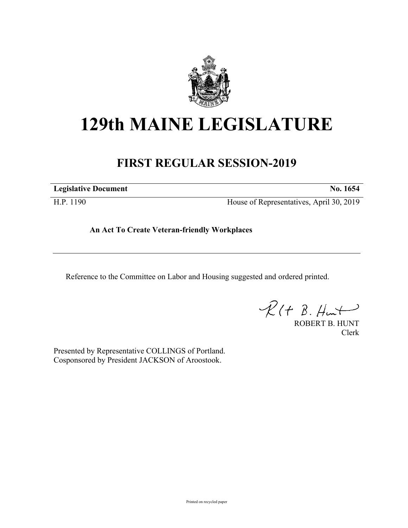

## **129th MAINE LEGISLATURE**

## **FIRST REGULAR SESSION-2019**

**Legislative Document No. 1654**

H.P. 1190 House of Representatives, April 30, 2019

**An Act To Create Veteran-friendly Workplaces**

Reference to the Committee on Labor and Housing suggested and ordered printed.

 $R(H B. Hmt)$ 

ROBERT B. HUNT Clerk

Presented by Representative COLLINGS of Portland. Cosponsored by President JACKSON of Aroostook.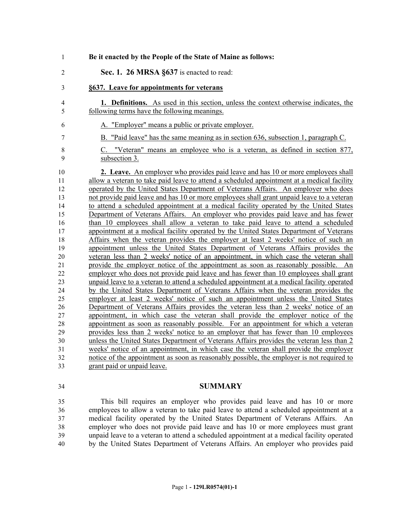| $\mathbf{1}$                                                                                                                                         | Be it enacted by the People of the State of Maine as follows:                                                                                                                                                                                                                                                                                                                                                                                                                                                                                                                                                                                                                                                                                                                                                                                                                                                                                                                                                                                                                                                                                                                                                                                                                                                                                                                                                                                                                                                                                                                                                                                                                                                                                                                                                                                                                                          |
|------------------------------------------------------------------------------------------------------------------------------------------------------|--------------------------------------------------------------------------------------------------------------------------------------------------------------------------------------------------------------------------------------------------------------------------------------------------------------------------------------------------------------------------------------------------------------------------------------------------------------------------------------------------------------------------------------------------------------------------------------------------------------------------------------------------------------------------------------------------------------------------------------------------------------------------------------------------------------------------------------------------------------------------------------------------------------------------------------------------------------------------------------------------------------------------------------------------------------------------------------------------------------------------------------------------------------------------------------------------------------------------------------------------------------------------------------------------------------------------------------------------------------------------------------------------------------------------------------------------------------------------------------------------------------------------------------------------------------------------------------------------------------------------------------------------------------------------------------------------------------------------------------------------------------------------------------------------------------------------------------------------------------------------------------------------------|
| $\overline{2}$                                                                                                                                       | Sec. 1. 26 MRSA §637 is enacted to read:                                                                                                                                                                                                                                                                                                                                                                                                                                                                                                                                                                                                                                                                                                                                                                                                                                                                                                                                                                                                                                                                                                                                                                                                                                                                                                                                                                                                                                                                                                                                                                                                                                                                                                                                                                                                                                                               |
| 3                                                                                                                                                    | §637. Leave for appointments for veterans                                                                                                                                                                                                                                                                                                                                                                                                                                                                                                                                                                                                                                                                                                                                                                                                                                                                                                                                                                                                                                                                                                                                                                                                                                                                                                                                                                                                                                                                                                                                                                                                                                                                                                                                                                                                                                                              |
| 4<br>5                                                                                                                                               | 1. Definitions. As used in this section, unless the context otherwise indicates, the<br>following terms have the following meanings.                                                                                                                                                                                                                                                                                                                                                                                                                                                                                                                                                                                                                                                                                                                                                                                                                                                                                                                                                                                                                                                                                                                                                                                                                                                                                                                                                                                                                                                                                                                                                                                                                                                                                                                                                                   |
| 6                                                                                                                                                    | A. "Employer" means a public or private employer.                                                                                                                                                                                                                                                                                                                                                                                                                                                                                                                                                                                                                                                                                                                                                                                                                                                                                                                                                                                                                                                                                                                                                                                                                                                                                                                                                                                                                                                                                                                                                                                                                                                                                                                                                                                                                                                      |
| 7                                                                                                                                                    | B. "Paid leave" has the same meaning as in section 636, subsection 1, paragraph C.                                                                                                                                                                                                                                                                                                                                                                                                                                                                                                                                                                                                                                                                                                                                                                                                                                                                                                                                                                                                                                                                                                                                                                                                                                                                                                                                                                                                                                                                                                                                                                                                                                                                                                                                                                                                                     |
| 8<br>9                                                                                                                                               | C. "Veteran" means an employee who is a veteran, as defined in section 877,<br>subsection 3.                                                                                                                                                                                                                                                                                                                                                                                                                                                                                                                                                                                                                                                                                                                                                                                                                                                                                                                                                                                                                                                                                                                                                                                                                                                                                                                                                                                                                                                                                                                                                                                                                                                                                                                                                                                                           |
| 10<br>11<br>12<br>13<br>14<br>15<br>16<br>17<br>18<br>19<br>20<br>$\overline{21}$<br>$\overline{22}$<br>23<br>24<br>25<br>26<br>27<br>28<br>29<br>30 | 2. Leave. An employer who provides paid leave and has 10 or more employees shall<br>allow a veteran to take paid leave to attend a scheduled appointment at a medical facility<br>operated by the United States Department of Veterans Affairs. An employer who does<br>not provide paid leave and has 10 or more employees shall grant unpaid leave to a veteran<br>to attend a scheduled appointment at a medical facility operated by the United States<br>Department of Veterans Affairs. An employer who provides paid leave and has fewer<br>than 10 employees shall allow a veteran to take paid leave to attend a scheduled<br>appointment at a medical facility operated by the United States Department of Veterans<br>Affairs when the veteran provides the employer at least 2 weeks' notice of such an<br>appointment unless the United States Department of Veterans Affairs provides the<br>veteran less than 2 weeks' notice of an appointment, in which case the veteran shall<br>provide the employer notice of the appointment as soon as reasonably possible. An<br>employer who does not provide paid leave and has fewer than 10 employees shall grant<br>unpaid leave to a veteran to attend a scheduled appointment at a medical facility operated<br>by the United States Department of Veterans Affairs when the veteran provides the<br>employer at least 2 weeks' notice of such an appointment unless the United States<br>Department of Veterans Affairs provides the veteran less than 2 weeks' notice of an<br>appointment, in which case the veteran shall provide the employer notice of the<br>appointment as soon as reasonably possible. For an appointment for which a veteran<br>provides less than 2 weeks' notice to an employer that has fewer than 10 employees<br>unless the United States Department of Veterans Affairs provides the veteran less than 2 |
| 31<br>32                                                                                                                                             | weeks' notice of an appointment, in which case the veteran shall provide the employer<br>notice of the appointment as soon as reasonably possible, the employer is not required to                                                                                                                                                                                                                                                                                                                                                                                                                                                                                                                                                                                                                                                                                                                                                                                                                                                                                                                                                                                                                                                                                                                                                                                                                                                                                                                                                                                                                                                                                                                                                                                                                                                                                                                     |
| 33                                                                                                                                                   | grant paid or unpaid leave.                                                                                                                                                                                                                                                                                                                                                                                                                                                                                                                                                                                                                                                                                                                                                                                                                                                                                                                                                                                                                                                                                                                                                                                                                                                                                                                                                                                                                                                                                                                                                                                                                                                                                                                                                                                                                                                                            |

## **SUMMARY**

 This bill requires an employer who provides paid leave and has 10 or more employees to allow a veteran to take paid leave to attend a scheduled appointment at a medical facility operated by the United States Department of Veterans Affairs. An employer who does not provide paid leave and has 10 or more employees must grant unpaid leave to a veteran to attend a scheduled appointment at a medical facility operated by the United States Department of Veterans Affairs. An employer who provides paid